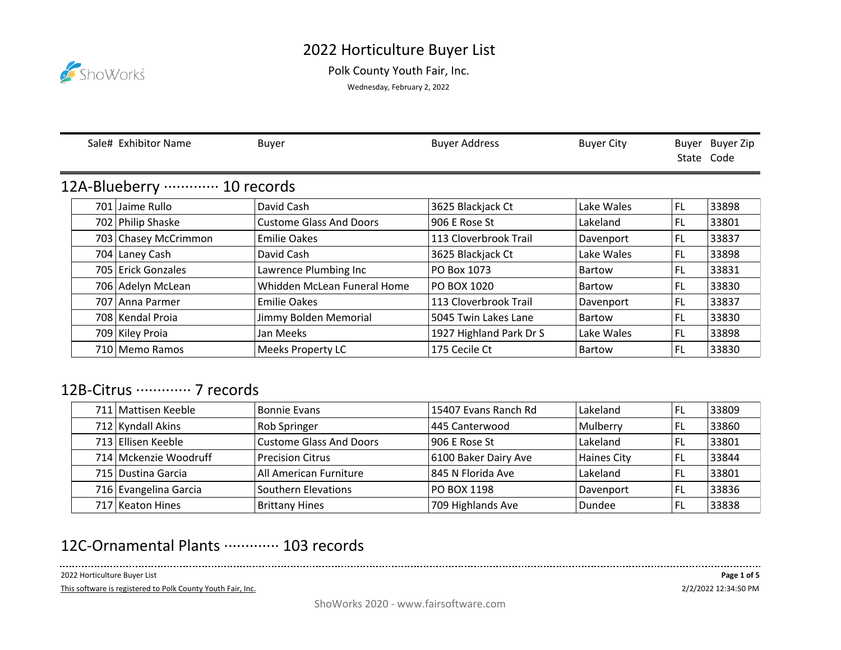## 2022 Horticulture Buyer List



Polk County Youth Fair, Inc.

Wednesday, February 2, 2022

|                                        |      | Sale# Exhibitor Name | <b>Buyer</b>                   | <b>Buyer Address</b>    | <b>Buyer City</b> | State Code | Buyer Buyer Zip |  |  |
|----------------------------------------|------|----------------------|--------------------------------|-------------------------|-------------------|------------|-----------------|--|--|
| 12A-Blueberry ············· 10 records |      |                      |                                |                         |                   |            |                 |  |  |
|                                        | 701  | Jaime Rullo          | David Cash                     | 3625 Blackjack Ct       | Lake Wales        | <b>FL</b>  | 33898           |  |  |
|                                        |      | 702 Philip Shaske    | <b>Custome Glass And Doors</b> | 906 E Rose St           | Lakeland          | <b>FL</b>  | 33801           |  |  |
|                                        |      | 703 Chasey McCrimmon | <b>Emilie Oakes</b>            | 113 Cloverbrook Trail   | Davenport         | <b>FL</b>  | 33837           |  |  |
|                                        |      | 704 Laney Cash       | David Cash                     | 3625 Blackjack Ct       | Lake Wales        | FL.        | 33898           |  |  |
|                                        |      | 705 Erick Gonzales   | Lawrence Plumbing Inc          | PO Box 1073             | <b>Bartow</b>     | <b>FL</b>  | 33831           |  |  |
|                                        | 706  | Adelyn McLean        | Whidden McLean Funeral Home    | PO BOX 1020             | <b>Bartow</b>     | FL         | 33830           |  |  |
|                                        | 7071 | Anna Parmer          | <b>Emilie Oakes</b>            | 113 Cloverbrook Trail   | Davenport         | FL.        | 33837           |  |  |
|                                        |      | 708 Kendal Proia     | Jimmy Bolden Memorial          | 5045 Twin Lakes Lane    | <b>Bartow</b>     | FL.        | 33830           |  |  |
|                                        |      | 709 Kiley Proia      | Jan Meeks                      | 1927 Highland Park Dr S | Lake Wales        | <b>FL</b>  | 33898           |  |  |
|                                        |      | 710   Memo Ramos     | <b>Meeks Property LC</b>       | 175 Cecile Ct           | <b>Bartow</b>     | <b>FL</b>  | 33830           |  |  |

## 12B-Citrus ··············· 7 records

| 711 Mattisen Keeble   | <b>Bonnie Evans</b>            | 15407 Evans Ranch Rd | Lakeland    | FL  | 33809 |
|-----------------------|--------------------------------|----------------------|-------------|-----|-------|
| 712 Kyndall Akins     | Rob Springer                   | 445 Canterwood       | Mulberry    | FL  | 33860 |
| 713 Ellisen Keeble    | <b>Custome Glass And Doors</b> | 906 E Rose St        | Lakeland    | FL  | 33801 |
| 714 Mckenzie Woodruff | <b>Precision Citrus</b>        | 6100 Baker Dairy Ave | Haines City | -FL | 33844 |
| 715 Dustina Garcia    | All American Furniture         | 845 N Florida Ave    | Lakeland    | FL  | 33801 |
| 716 Evangelina Garcia | Southern Elevations            | PO BOX 1198          | Davenport   | -FL | 33836 |
| 717 Keaton Hines      | <b>Brittany Hines</b>          | 709 Highlands Ave    | Dundee      | FL  | 33838 |

## 12C-Ornamental Plants ·············· 103 records

2022 Horticulture Buyer List

This software is registered to Polk County Youth Fair, Inc.

. . . . . .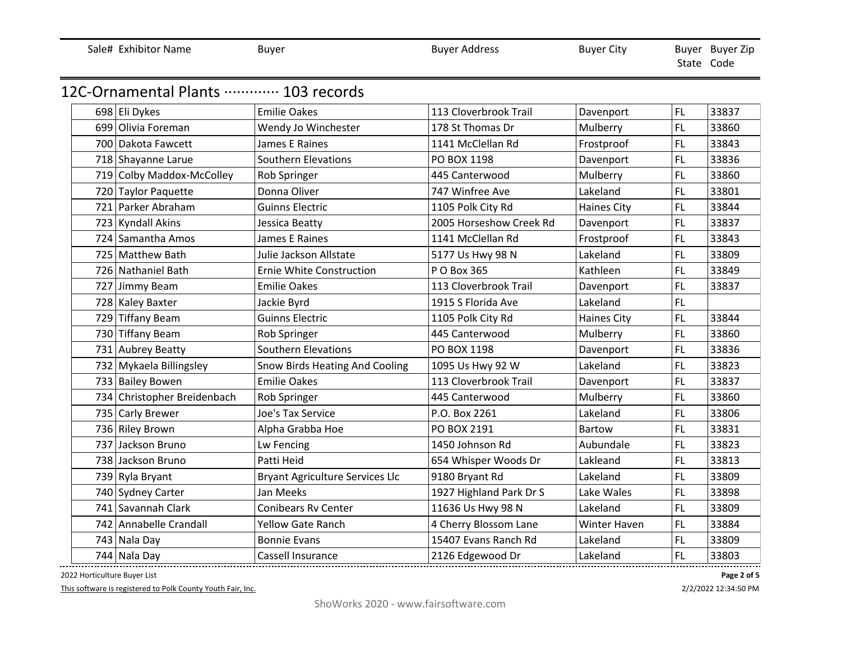|                                        |                                        |                         |                    |           | State Code |
|----------------------------------------|----------------------------------------|-------------------------|--------------------|-----------|------------|
| 12C-Ornamental Plants ………… 103 records |                                        |                         |                    |           |            |
| 698 Eli Dykes                          | <b>Emilie Oakes</b>                    | 113 Cloverbrook Trail   | Davenport          | <b>FL</b> | 33837      |
| 699 Olivia Foreman                     | Wendy Jo Winchester                    | 178 St Thomas Dr        | Mulberry           | FL        | 33860      |
| 700 Dakota Fawcett                     | James E Raines                         | 1141 McClellan Rd       | Frostproof         | <b>FL</b> | 33843      |
| 718 Shayanne Larue                     | <b>Southern Elevations</b>             | PO BOX 1198             | Davenport          | <b>FL</b> | 33836      |
| 719 Colby Maddox-McColley              | Rob Springer                           | 445 Canterwood          | Mulberry           | FL        | 33860      |
| 720 Taylor Paquette                    | Donna Oliver                           | 747 Winfree Ave         | Lakeland           | FL        | 33801      |
| 721 Parker Abraham                     | <b>Guinns Electric</b>                 | 1105 Polk City Rd       | <b>Haines City</b> | FL        | 33844      |
| 723 Kyndall Akins                      | Jessica Beatty                         | 2005 Horseshow Creek Rd | Davenport          | FL        | 33837      |
| 724 Samantha Amos                      | James E Raines                         | 1141 McClellan Rd       | Frostproof         | FL        | 33843      |
| 725 Matthew Bath                       | Julie Jackson Allstate                 | 5177 Us Hwy 98 N        | Lakeland           | FL        | 33809      |
| 726 Nathaniel Bath                     | Ernie White Construction               | P O Box 365             | Kathleen           | FL        | 33849      |
| 727 Jimmy Beam                         | <b>Emilie Oakes</b>                    | 113 Cloverbrook Trail   | Davenport          | <b>FL</b> | 33837      |
| 728 Kaley Baxter                       | Jackie Byrd                            | 1915 S Florida Ave      | Lakeland           | <b>FL</b> |            |
| 729 Tiffany Beam                       | <b>Guinns Electric</b>                 | 1105 Polk City Rd       | <b>Haines City</b> | FL.       | 33844      |
| 730 Tiffany Beam                       | Rob Springer                           | 445 Canterwood          | Mulberry           | FL        | 33860      |
| 731 Aubrey Beatty                      | <b>Southern Elevations</b>             | PO BOX 1198             | Davenport          | FL        | 33836      |
| 732 Mykaela Billingsley                | Snow Birds Heating And Cooling         | 1095 Us Hwy 92 W        | Lakeland           | <b>FL</b> | 33823      |
| 733 Bailey Bowen                       | <b>Emilie Oakes</b>                    | 113 Cloverbrook Trail   | Davenport          | FL        | 33837      |
| 734 Christopher Breidenbach            | Rob Springer                           | 445 Canterwood          | Mulberry           | <b>FL</b> | 33860      |
| 735 Carly Brewer                       | Joe's Tax Service                      | P.O. Box 2261           | Lakeland           | FL        | 33806      |
| 736 Riley Brown                        | Alpha Grabba Hoe                       | PO BOX 2191             | <b>Bartow</b>      | <b>FL</b> | 33831      |
| 737 Jackson Bruno                      | Lw Fencing                             | 1450 Johnson Rd         | Aubundale          | <b>FL</b> | 33823      |
| 738 Jackson Bruno                      | Patti Heid                             | 654 Whisper Woods Dr    | Lakleand           | <b>FL</b> | 33813      |
| 739 Ryla Bryant                        | <b>Bryant Agriculture Services Llc</b> | 9180 Bryant Rd          | Lakeland           | <b>FL</b> | 33809      |
| 740 Sydney Carter                      | Jan Meeks                              | 1927 Highland Park Dr S | Lake Wales         | FL        | 33898      |
| 741 Savannah Clark                     | <b>Conibears Rv Center</b>             | 11636 Us Hwy 98 N       | Lakeland           | <b>FL</b> | 33809      |
| 742 Annabelle Crandall                 | <b>Yellow Gate Ranch</b>               | 4 Cherry Blossom Lane   | Winter Haven       | FL        | 33884      |
| 743 Nala Day                           | <b>Bonnie Evans</b>                    | 15407 Evans Ranch Rd    | Lakeland           | FL.       | 33809      |
| 744 Nala Day                           | Cassell Insurance                      | 2126 Edgewood Dr        | Lakeland           | <b>FL</b> | 33803      |

Sale# Exhibitor Name Buyer Buyer Buyer Buyer Buyer Address Buyer City

2022 Horticulture Buyer List

This software is registered to Polk County Youth Fair, Inc.

2/2/2022 12:34:50 PM **Page 2 of 5**

Buyer Buyer Zip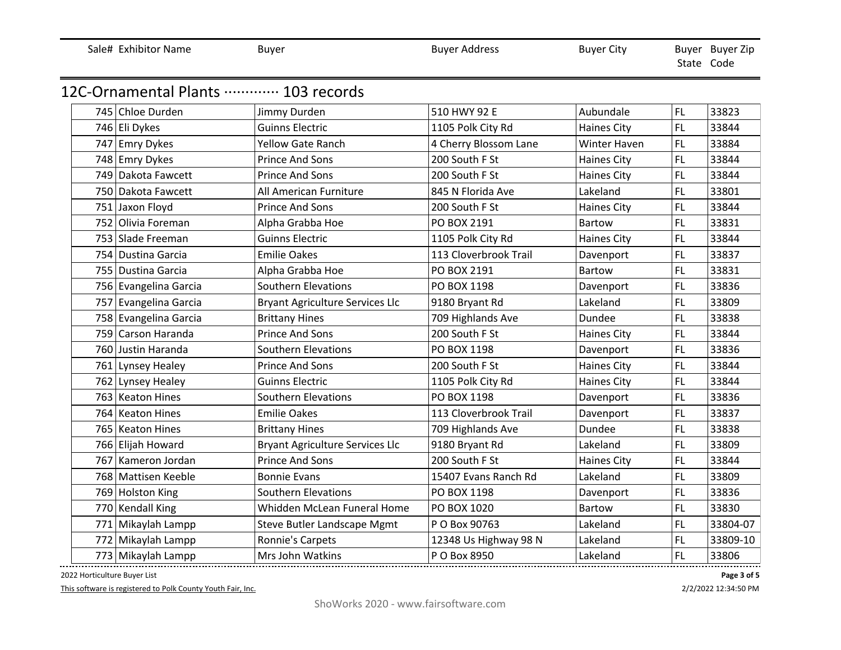|  |  | Sale# Exhibitor Name |  |
|--|--|----------------------|--|
|--|--|----------------------|--|

Buyer Buyer Address Buyer Address Buyer City

 State Code Buyer Buyer Zip

## 12C-Ornamental Plants ·············· 103 records

|  | 745 Chloe Durden      | Jimmy Durden                           | 510 HWY 92 E          | Aubundale          | <b>FL</b> | 33823    |
|--|-----------------------|----------------------------------------|-----------------------|--------------------|-----------|----------|
|  | 746 Eli Dykes         | <b>Guinns Electric</b>                 | 1105 Polk City Rd     | <b>Haines City</b> | FL.       | 33844    |
|  | 747 Emry Dykes        | <b>Yellow Gate Ranch</b>               | 4 Cherry Blossom Lane | Winter Haven       | FL.       | 33884    |
|  | 748 Emry Dykes        | <b>Prince And Sons</b>                 | 200 South F St        | <b>Haines City</b> | FL        | 33844    |
|  | 749 Dakota Fawcett    | <b>Prince And Sons</b>                 | 200 South F St        | <b>Haines City</b> | <b>FL</b> | 33844    |
|  | 750 Dakota Fawcett    | All American Furniture                 | 845 N Florida Ave     | Lakeland           | FL.       | 33801    |
|  | 751 Jaxon Floyd       | <b>Prince And Sons</b>                 | 200 South F St        | <b>Haines City</b> | FL.       | 33844    |
|  | 752 Olivia Foreman    | Alpha Grabba Hoe                       | PO BOX 2191           | Bartow             | <b>FL</b> | 33831    |
|  | 753 Slade Freeman     | <b>Guinns Electric</b>                 | 1105 Polk City Rd     | <b>Haines City</b> | FL.       | 33844    |
|  | 754 Dustina Garcia    | <b>Emilie Oakes</b>                    | 113 Cloverbrook Trail | Davenport          | FL.       | 33837    |
|  | 755 Dustina Garcia    | Alpha Grabba Hoe                       | PO BOX 2191           | Bartow             | FL        | 33831    |
|  | 756 Evangelina Garcia | <b>Southern Elevations</b>             | PO BOX 1198           | Davenport          | FL.       | 33836    |
|  | 757 Evangelina Garcia | Bryant Agriculture Services Llc        | 9180 Bryant Rd        | Lakeland           | FL.       | 33809    |
|  | 758 Evangelina Garcia | <b>Brittany Hines</b>                  | 709 Highlands Ave     | Dundee             | FL.       | 33838    |
|  | 759 Carson Haranda    | <b>Prince And Sons</b>                 | 200 South F St        | <b>Haines City</b> | FL.       | 33844    |
|  | 760 Justin Haranda    | <b>Southern Elevations</b>             | PO BOX 1198           | Davenport          | <b>FL</b> | 33836    |
|  | 761 Lynsey Healey     | <b>Prince And Sons</b>                 | 200 South F St        | <b>Haines City</b> | FL        | 33844    |
|  | 762 Lynsey Healey     | <b>Guinns Electric</b>                 | 1105 Polk City Rd     | <b>Haines City</b> | <b>FL</b> | 33844    |
|  | 763 Keaton Hines      | <b>Southern Elevations</b>             | PO BOX 1198           | Davenport          | <b>FL</b> | 33836    |
|  | 764 Keaton Hines      | <b>Emilie Oakes</b>                    | 113 Cloverbrook Trail | Davenport          | FL.       | 33837    |
|  | 765 Keaton Hines      | <b>Brittany Hines</b>                  | 709 Highlands Ave     | Dundee             | FL.       | 33838    |
|  | 766 Elijah Howard     | <b>Bryant Agriculture Services Llc</b> | 9180 Bryant Rd        | Lakeland           | FL.       | 33809    |
|  | 767 Kameron Jordan    | <b>Prince And Sons</b>                 | 200 South F St        | <b>Haines City</b> | FL.       | 33844    |
|  | 768 Mattisen Keeble   | <b>Bonnie Evans</b>                    | 15407 Evans Ranch Rd  | Lakeland           | FL.       | 33809    |
|  | 769 Holston King      | <b>Southern Elevations</b>             | PO BOX 1198           | Davenport          | FL        | 33836    |
|  | 770 Kendall King      | Whidden McLean Funeral Home            | PO BOX 1020           | <b>Bartow</b>      | FL        | 33830    |
|  | 771 Mikaylah Lampp    | Steve Butler Landscape Mgmt            | P O Box 90763         | Lakeland           | <b>FL</b> | 33804-07 |
|  | 772 Mikaylah Lampp    | Ronnie's Carpets                       | 12348 Us Highway 98 N | Lakeland           | FL        | 33809-10 |
|  | 773 Mikaylah Lampp    | Mrs John Watkins                       | P O Box 8950          | Lakeland           | <b>FL</b> | 33806    |
|  |                       |                                        |                       |                    |           |          |

2022 Horticulture Buyer List

This software is registered to Polk County Youth Fair, Inc.

**Page 3 of 5**

2/2/2022 12:34:50 PM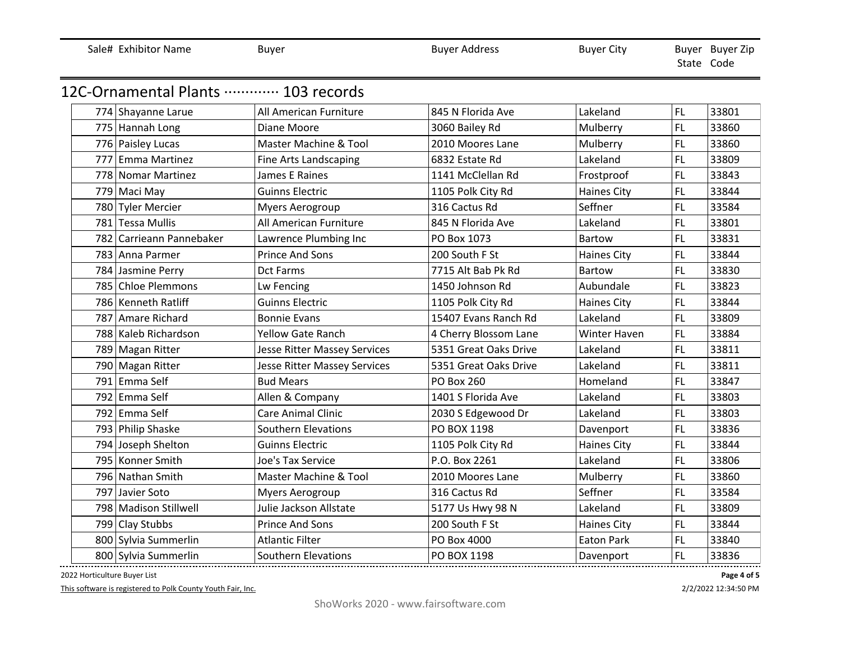| Sale# Exhibitor Name               | Buyer                               | <b>Buyer Address</b>  | <b>Buyer City</b>  |           | Buyer Buyer Zip<br>State Code |
|------------------------------------|-------------------------------------|-----------------------|--------------------|-----------|-------------------------------|
| 12C-Ornamental Plants  103 records |                                     |                       |                    |           |                               |
| 774 Shayanne Larue                 | All American Furniture              | 845 N Florida Ave     | Lakeland           | FL.       | 33801                         |
| 775 Hannah Long                    | Diane Moore                         | 3060 Bailey Rd        | Mulberry           | <b>FL</b> | 33860                         |
| 776 Paisley Lucas                  | Master Machine & Tool               | 2010 Moores Lane      | Mulberry           | FL        | 33860                         |
| 777 Emma Martinez                  | Fine Arts Landscaping               | 6832 Estate Rd        | Lakeland           | <b>FL</b> | 33809                         |
| 778 Nomar Martinez                 | James E Raines                      | 1141 McClellan Rd     | Frostproof         | FL.       | 33843                         |
| 779 Maci May                       | <b>Guinns Electric</b>              | 1105 Polk City Rd     | <b>Haines City</b> | <b>FL</b> | 33844                         |
| 780 Tyler Mercier                  | <b>Myers Aerogroup</b>              | 316 Cactus Rd         | Seffner            | FL        | 33584                         |
| 781 Tessa Mullis                   | All American Furniture              | 845 N Florida Ave     | Lakeland           | <b>FL</b> | 33801                         |
| 782 Carrieann Pannebaker           | Lawrence Plumbing Inc               | PO Box 1073           | <b>Bartow</b>      | <b>FL</b> | 33831                         |
| 783 Anna Parmer                    | <b>Prince And Sons</b>              | 200 South F St        | <b>Haines City</b> | <b>FL</b> | 33844                         |
| 784 Jasmine Perry                  | <b>Dct Farms</b>                    | 7715 Alt Bab Pk Rd    | <b>Bartow</b>      | <b>FL</b> | 33830                         |
| 785 Chloe Plemmons                 | Lw Fencing                          | 1450 Johnson Rd       | Aubundale          | FL.       | 33823                         |
| 786 Kenneth Ratliff                | <b>Guinns Electric</b>              | 1105 Polk City Rd     | <b>Haines City</b> | <b>FL</b> | 33844                         |
| 787 Amare Richard                  | <b>Bonnie Evans</b>                 | 15407 Evans Ranch Rd  | Lakeland           | FL        | 33809                         |
| 788 Kaleb Richardson               | <b>Yellow Gate Ranch</b>            | 4 Cherry Blossom Lane | Winter Haven       | <b>FL</b> | 33884                         |
| 789 Magan Ritter                   | <b>Jesse Ritter Massey Services</b> | 5351 Great Oaks Drive | Lakeland           | <b>FL</b> | 33811                         |
| 790 Magan Ritter                   | Jesse Ritter Massey Services        | 5351 Great Oaks Drive | Lakeland           | <b>FL</b> | 33811                         |
| 791 Emma Self                      | <b>Bud Mears</b>                    | <b>PO Box 260</b>     | Homeland           | FL        | 33847                         |
| 792 Emma Self                      | Allen & Company                     | 1401 S Florida Ave    | Lakeland           | <b>FL</b> | 33803                         |
| 792 Emma Self                      | <b>Care Animal Clinic</b>           | 2030 S Edgewood Dr    | Lakeland           | <b>FL</b> | 33803                         |
| 793 Philip Shaske                  | Southern Elevations                 | PO BOX 1198           | Davenport          | <b>FL</b> | 33836                         |
| 794 Joseph Shelton                 | <b>Guinns Electric</b>              | 1105 Polk City Rd     | <b>Haines City</b> | <b>FL</b> | 33844                         |
| 795 Konner Smith                   | Joe's Tax Service                   | P.O. Box 2261         | Lakeland           | <b>FL</b> | 33806                         |
| 796 Nathan Smith                   | Master Machine & Tool               | 2010 Moores Lane      | Mulberry           | FL.       | 33860                         |
| 797 Javier Soto                    | <b>Myers Aerogroup</b>              | 316 Cactus Rd         | Seffner            | FL        | 33584                         |
| 798 Madison Stillwell              | Julie Jackson Allstate              | 5177 Us Hwy 98 N      | Lakeland           | <b>FL</b> | 33809                         |
| 799 Clay Stubbs                    | <b>Prince And Sons</b>              | 200 South F St        | <b>Haines City</b> | <b>FL</b> | 33844                         |
| 800 Sylvia Summerlin               | <b>Atlantic Filter</b>              | PO Box 4000           | <b>Eaton Park</b>  | <b>FL</b> | 33840                         |
| 800 Sylvia Summerlin               | Southern Elevations                 | PO BOX 1198           | Davenport          | FL        | 33836                         |
|                                    |                                     |                       |                    |           |                               |

2022 Horticulture Buyer List

This software is registered to Polk County Youth Fair, Inc.